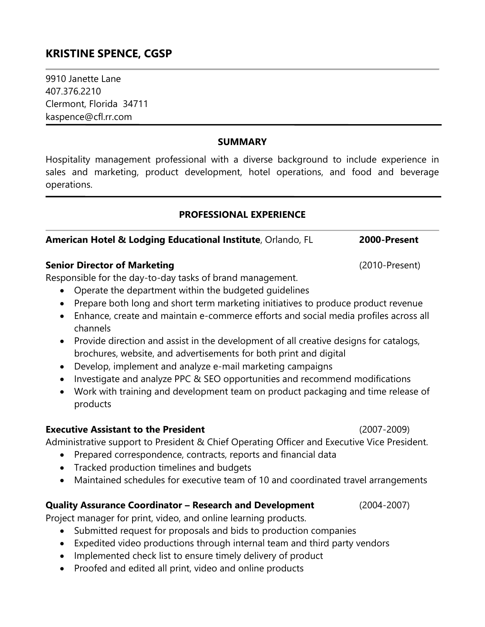# **KRISTINE SPENCE, CGSP**

9910 Janette Lane 407.376.2210 Clermont, Florida 34711 kaspence@cfl.rr.com

#### **SUMMARY**

Hospitality management professional with a diverse background to include experience in sales and marketing, product development, hotel operations, and food and beverage operations.

### **PROFESSIONAL EXPERIENCE**

## **American Hotel & Lodging Educational Institute**, Orlando, FL **2000-Present**

### **Senior Director of Marketing** (2010-Present)

Responsible for the day-to-day tasks of brand management.

- Operate the department within the budgeted guidelines
- Prepare both long and short term marketing initiatives to produce product revenue
- Enhance, create and maintain e-commerce efforts and social media profiles across all channels
- Provide direction and assist in the development of all creative designs for catalogs, brochures, website, and advertisements for both print and digital
- Develop, implement and analyze e-mail marketing campaigns
- Investigate and analyze PPC & SEO opportunities and recommend modifications
- Work with training and development team on product packaging and time release of products

### **Executive Assistant to the President** (2007-2009)

Administrative support to President & Chief Operating Officer and Executive Vice President.

- Prepared correspondence, contracts, reports and financial data
- Tracked production timelines and budgets
- Maintained schedules for executive team of 10 and coordinated travel arrangements

### **Quality Assurance Coordinator – Research and Development** (2004-2007)

Project manager for print, video, and online learning products.

- Submitted request for proposals and bids to production companies
- Expedited video productions through internal team and third party vendors
- Implemented check list to ensure timely delivery of product
- Proofed and edited all print, video and online products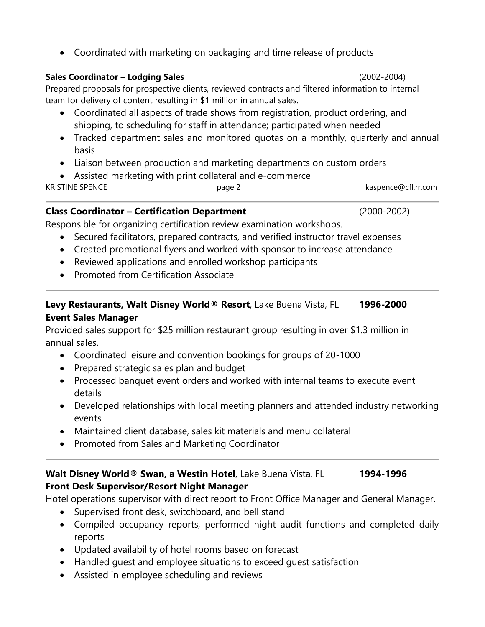Coordinated with marketing on packaging and time release of products

## **Sales Coordinator – Lodging Sales** (2002-2004)

Prepared proposals for prospective clients, reviewed contracts and filtered information to internal team for delivery of content resulting in \$1 million in annual sales.

- Coordinated all aspects of trade shows from registration, product ordering, and shipping, to scheduling for staff in attendance; participated when needed
- Tracked department sales and monitored quotas on a monthly, quarterly and annual basis
- Liaison between production and marketing departments on custom orders
- Assisted marketing with print collateral and e-commerce

KRISTINE SPENCE **Example 2** bage 2 contract a page 2 kaspence@cfl.rr.com

### **Class Coordinator – Certification Department** (2000-2002)

Responsible for organizing certification review examination workshops.

- Secured facilitators, prepared contracts, and verified instructor travel expenses
- Created promotional flyers and worked with sponsor to increase attendance
- Reviewed applications and enrolled workshop participants
- Promoted from Certification Associate

## **Levy Restaurants, Walt Disney World® Resort**, Lake Buena Vista, FL **1996-2000 Event Sales Manager**

Provided sales support for \$25 million restaurant group resulting in over \$1.3 million in annual sales.

- Coordinated leisure and convention bookings for groups of 20-1000
- Prepared strategic sales plan and budget
- Processed banquet event orders and worked with internal teams to execute event details
- Developed relationships with local meeting planners and attended industry networking events
- Maintained client database, sales kit materials and menu collateral
- Promoted from Sales and Marketing Coordinator

# **Walt Disney World® Swan, a Westin Hotel**, Lake Buena Vista, FL **1994-1996 Front Desk Supervisor/Resort Night Manager**

Hotel operations supervisor with direct report to Front Office Manager and General Manager.

- Supervised front desk, switchboard, and bell stand
- Compiled occupancy reports, performed night audit functions and completed daily reports
- Updated availability of hotel rooms based on forecast
- Handled guest and employee situations to exceed guest satisfaction
- Assisted in employee scheduling and reviews